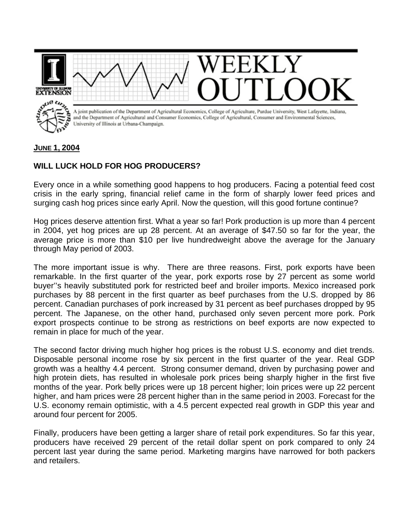

## **JUNE 1, 2004**

## **WILL LUCK HOLD FOR HOG PRODUCERS?**

Every once in a while something good happens to hog producers. Facing a potential feed cost crisis in the early spring, financial relief came in the form of sharply lower feed prices and surging cash hog prices since early April. Now the question, will this good fortune continue?

Hog prices deserve attention first. What a year so far! Pork production is up more than 4 percent in 2004, yet hog prices are up 28 percent. At an average of \$47.50 so far for the year, the average price is more than \$10 per live hundredweight above the average for the January through May period of 2003.

The more important issue is why. There are three reasons. First, pork exports have been remarkable. In the first quarter of the year, pork exports rose by 27 percent as some world buyer''s heavily substituted pork for restricted beef and broiler imports. Mexico increased pork purchases by 88 percent in the first quarter as beef purchases from the U.S. dropped by 86 percent. Canadian purchases of pork increased by 31 percent as beef purchases dropped by 95 percent. The Japanese, on the other hand, purchased only seven percent more pork. Pork export prospects continue to be strong as restrictions on beef exports are now expected to remain in place for much of the year.

The second factor driving much higher hog prices is the robust U.S. economy and diet trends. Disposable personal income rose by six percent in the first quarter of the year. Real GDP growth was a healthy 4.4 percent. Strong consumer demand, driven by purchasing power and high protein diets, has resulted in wholesale pork prices being sharply higher in the first five months of the year. Pork belly prices were up 18 percent higher; loin prices were up 22 percent higher, and ham prices were 28 percent higher than in the same period in 2003. Forecast for the U.S. economy remain optimistic, with a 4.5 percent expected real growth in GDP this year and around four percent for 2005.

Finally, producers have been getting a larger share of retail pork expenditures. So far this year, producers have received 29 percent of the retail dollar spent on pork compared to only 24 percent last year during the same period. Marketing margins have narrowed for both packers and retailers.